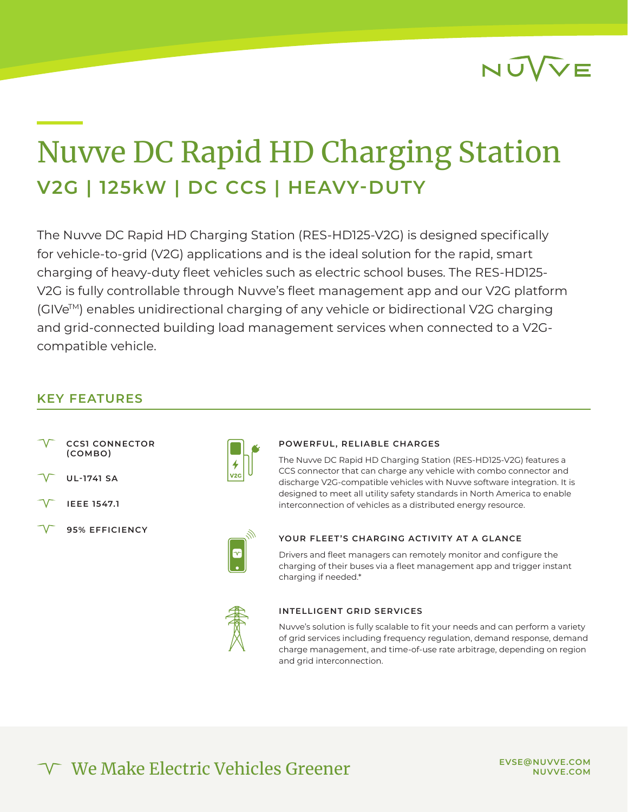

## Nuvve DC Rapid HD Charging Station **V2G | 125kW | DC CCS | HEAVY-DUTY**

The Nuvve DC Rapid HD Charging Station (RES-HD125-V2G) is designed specifically for vehicle-to-grid (V2G) applications and is the ideal solution for the rapid, smart charging of heavy-duty fleet vehicles such as electric school buses. The RES-HD125- V2G is fully controllable through Nuvve's fleet management app and our V2G platform (GIVeTM) enables unidirectional charging of any vehicle or bidirectional V2G charging and grid-connected building load management services when connected to a V2Gcompatible vehicle.

#### **KEY FEATURES**

- **CCS1 CONNECTOR (COMBO)**
- **UL-1741 SA**
- **IEEE 1547.1**
- **95% EFFICIENCY**



#### **POWERFUL, RELIABLE CHARGES**

The Nuvve DC Rapid HD Charging Station (RES-HD125-V2G) features a CCS connector that can charge any vehicle with combo connector and discharge V2G-compatible vehicles with Nuvve software integration. It is designed to meet all utility safety standards in North America to enable interconnection of vehicles as a distributed energy resource.



#### **YOUR FLEET'S CHARGING ACTIVITY AT A GLANCE**

Drivers and fleet managers can remotely monitor and configure the charging of their buses via a fleet management app and trigger instant charging if needed.\*



#### **INTELLIGENT GRID SERVICES**

Nuvve's solution is fully scalable to fit your needs and can perform a variety of grid services including frequency regulation, demand response, demand charge management, and time-of-use rate arbitrage, depending on region and grid interconnection.

### We Make Electric Vehicles Greener

**EVSE@NUVVE.COM NUVVE.COM**